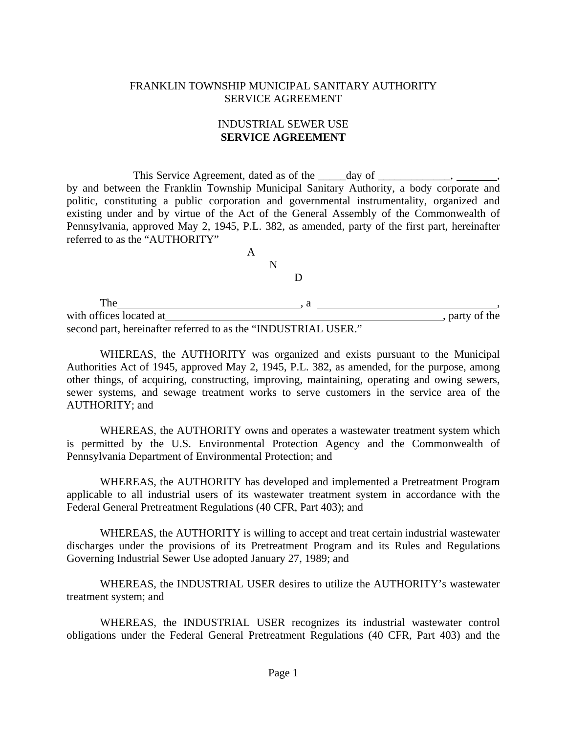#### FRANKLIN TOWNSHIP MUNICIPAL SANITARY AUTHORITY SERVICE AGREEMENT

### INDUSTRIAL SEWER USE **SERVICE AGREEMENT**

This Service Agreement, dated as of the \_\_\_\_\_day of \_\_\_\_\_\_\_\_ by and between the Franklin Township Municipal Sanitary Authority, a body corporate and politic, constituting a public corporation and governmental instrumentality, organized and existing under and by virtue of the Act of the General Assembly of the Commonwealth of Pennsylvania, approved May 2, 1945, P.L. 382, as amended, party of the first part, hereinafter referred to as the "AUTHORITY"

| The                                       |                |
|-------------------------------------------|----------------|
| with offices located at                   | , party of the |
| $\sim$ $\sim$ $\sim$ $\sim$ $\sim$ $\sim$ |                |

second part, hereinafter referred to as the "INDUSTRIAL USER."

 WHEREAS, the AUTHORITY was organized and exists pursuant to the Municipal Authorities Act of 1945, approved May 2, 1945, P.L. 382, as amended, for the purpose, among other things, of acquiring, constructing, improving, maintaining, operating and owing sewers, sewer systems, and sewage treatment works to serve customers in the service area of the AUTHORITY; and

 WHEREAS, the AUTHORITY owns and operates a wastewater treatment system which is permitted by the U.S. Environmental Protection Agency and the Commonwealth of Pennsylvania Department of Environmental Protection; and

 WHEREAS, the AUTHORITY has developed and implemented a Pretreatment Program applicable to all industrial users of its wastewater treatment system in accordance with the Federal General Pretreatment Regulations (40 CFR, Part 403); and

 WHEREAS, the AUTHORITY is willing to accept and treat certain industrial wastewater discharges under the provisions of its Pretreatment Program and its Rules and Regulations Governing Industrial Sewer Use adopted January 27, 1989; and

 WHEREAS, the INDUSTRIAL USER desires to utilize the AUTHORITY's wastewater treatment system; and

 WHEREAS, the INDUSTRIAL USER recognizes its industrial wastewater control obligations under the Federal General Pretreatment Regulations (40 CFR, Part 403) and the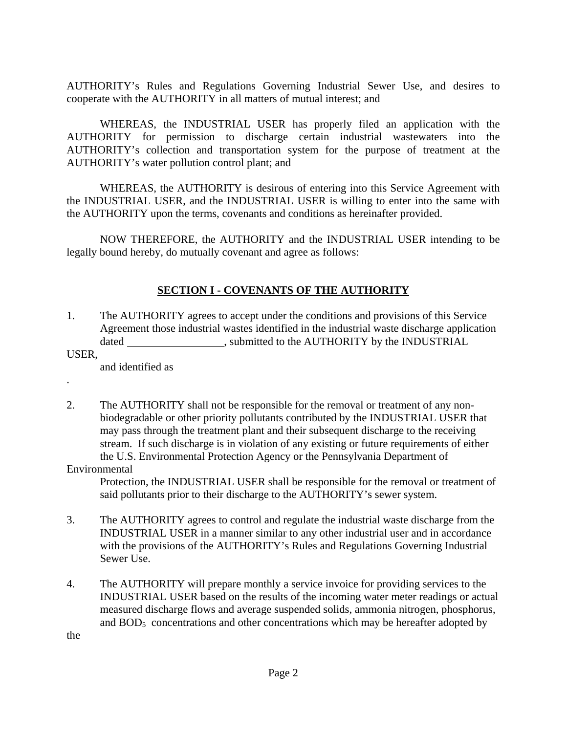AUTHORITY's Rules and Regulations Governing Industrial Sewer Use, and desires to cooperate with the AUTHORITY in all matters of mutual interest; and

 WHEREAS, the INDUSTRIAL USER has properly filed an application with the AUTHORITY for permission to discharge certain industrial wastewaters into the AUTHORITY's collection and transportation system for the purpose of treatment at the AUTHORITY's water pollution control plant; and

 WHEREAS, the AUTHORITY is desirous of entering into this Service Agreement with the INDUSTRIAL USER, and the INDUSTRIAL USER is willing to enter into the same with the AUTHORITY upon the terms, covenants and conditions as hereinafter provided.

 NOW THEREFORE, the AUTHORITY and the INDUSTRIAL USER intending to be legally bound hereby, do mutually covenant and agree as follows:

### **SECTION I - COVENANTS OF THE AUTHORITY**

- 1. The AUTHORITY agrees to accept under the conditions and provisions of this Service Agreement those industrial wastes identified in the industrial waste discharge application dated submitted to the AUTHORITY by the INDUSTRIAL
- USER,

.

and identified as

2. The AUTHORITY shall not be responsible for the removal or treatment of any non biodegradable or other priority pollutants contributed by the INDUSTRIAL USER that may pass through the treatment plant and their subsequent discharge to the receiving stream. If such discharge is in violation of any existing or future requirements of either the U.S. Environmental Protection Agency or the Pennsylvania Department of

#### Environmental

 Protection, the INDUSTRIAL USER shall be responsible for the removal or treatment of said pollutants prior to their discharge to the AUTHORITY's sewer system.

- 3. The AUTHORITY agrees to control and regulate the industrial waste discharge from the INDUSTRIAL USER in a manner similar to any other industrial user and in accordance with the provisions of the AUTHORITY's Rules and Regulations Governing Industrial Sewer Use.
- 4. The AUTHORITY will prepare monthly a service invoice for providing services to the INDUSTRIAL USER based on the results of the incoming water meter readings or actual measured discharge flows and average suspended solids, ammonia nitrogen, phosphorus, and  $BOD<sub>5</sub>$  concentrations and other concentrations which may be hereafter adopted by

the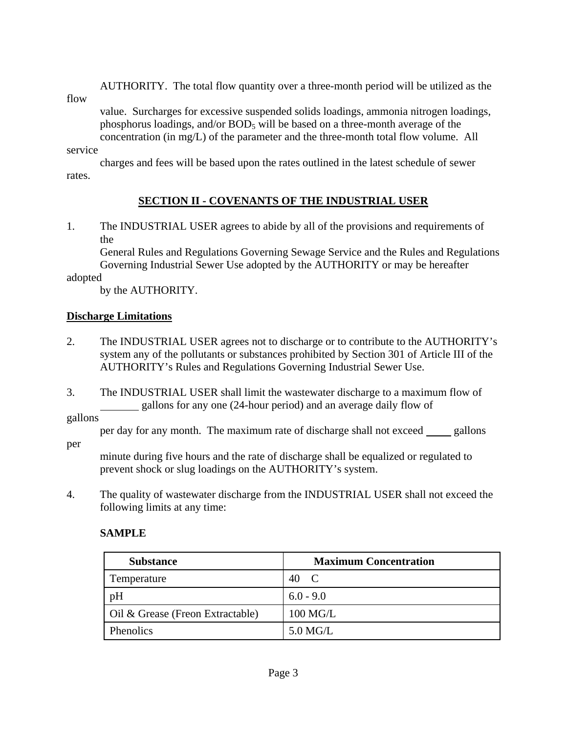AUTHORITY. The total flow quantity over a three-month period will be utilized as the

flow

 value. Surcharges for excessive suspended solids loadings, ammonia nitrogen loadings, phosphorus loadings, and/or  $BOD_5$  will be based on a three-month average of the concentration (in mg/L) of the parameter and the three-month total flow volume. All

#### service

 charges and fees will be based upon the rates outlined in the latest schedule of sewer rates.

## **SECTION II - COVENANTS OF THE INDUSTRIAL USER**

1. The INDUSTRIAL USER agrees to abide by all of the provisions and requirements of the

 General Rules and Regulations Governing Sewage Service and the Rules and Regulations Governing Industrial Sewer Use adopted by the AUTHORITY or may be hereafter

adopted

by the AUTHORITY.

### **Discharge Limitations**

- 2. The INDUSTRIAL USER agrees not to discharge or to contribute to the AUTHORITY's system any of the pollutants or substances prohibited by Section 301 of Article III of the AUTHORITY's Rules and Regulations Governing Industrial Sewer Use.
- 3. The INDUSTRIAL USER shall limit the wastewater discharge to a maximum flow of gallons for any one (24-hour period) and an average daily flow of

gallons

per day for any month. The maximum rate of discharge shall not exceed <u>sallons</u>

per

 minute during five hours and the rate of discharge shall be equalized or regulated to prevent shock or slug loadings on the AUTHORITY's system.

4. The quality of wastewater discharge from the INDUSTRIAL USER shall not exceed the following limits at any time:

## **SAMPLE**

| <b>Substance</b>                 | <b>Maximum Concentration</b> |
|----------------------------------|------------------------------|
| Temperature                      | 40<br>- C                    |
| pH                               | $6.0 - 9.0$                  |
| Oil & Grease (Freon Extractable) | 100 MG/L                     |
| <b>Phenolics</b>                 | $5.0$ MG/L                   |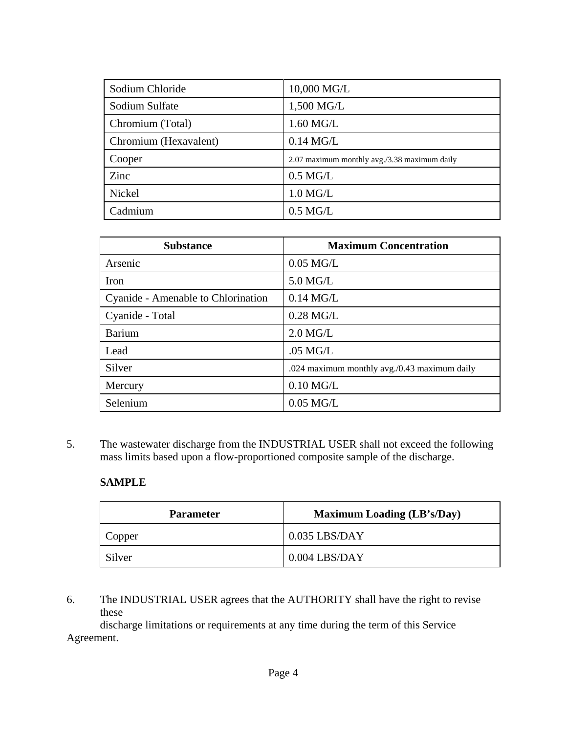| Sodium Chloride       | 10,000 MG/L                                  |
|-----------------------|----------------------------------------------|
| Sodium Sulfate        | 1,500 MG/L                                   |
| Chromium (Total)      | 1.60 MG/L                                    |
| Chromium (Hexavalent) | $0.14$ MG/L                                  |
| Cooper                | 2.07 maximum monthly avg./3.38 maximum daily |
| Zinc                  | $0.5$ MG/L                                   |
| Nickel                | $1.0$ MG/L                                   |
| Cadmium               | $0.5$ MG/L                                   |

| <b>Substance</b>                   | <b>Maximum Concentration</b>                 |
|------------------------------------|----------------------------------------------|
| Arsenic                            | $0.05$ MG/L                                  |
| Iron                               | $5.0$ MG/L                                   |
| Cyanide - Amenable to Chlorination | $0.14$ MG/L                                  |
| Cyanide - Total                    | $0.28$ MG/L                                  |
| <b>Barium</b>                      | $2.0$ MG/L                                   |
| Lead                               | $.05$ MG/L                                   |
| Silver                             | .024 maximum monthly avg./0.43 maximum daily |
| Mercury                            | $0.10$ MG/L                                  |
| Selenium                           | $0.05$ MG/L                                  |

5. The wastewater discharge from the INDUSTRIAL USER shall not exceed the following mass limits based upon a flow-proportioned composite sample of the discharge.

### **SAMPLE**

| <b>Parameter</b> | <b>Maximum Loading (LB's/Day)</b> |
|------------------|-----------------------------------|
| Copper           | $0.035$ LBS/DAY                   |
| Silver           | $0.004$ LBS/DAY                   |

6. The INDUSTRIAL USER agrees that the AUTHORITY shall have the right to revise these

 discharge limitations or requirements at any time during the term of this Service Agreement.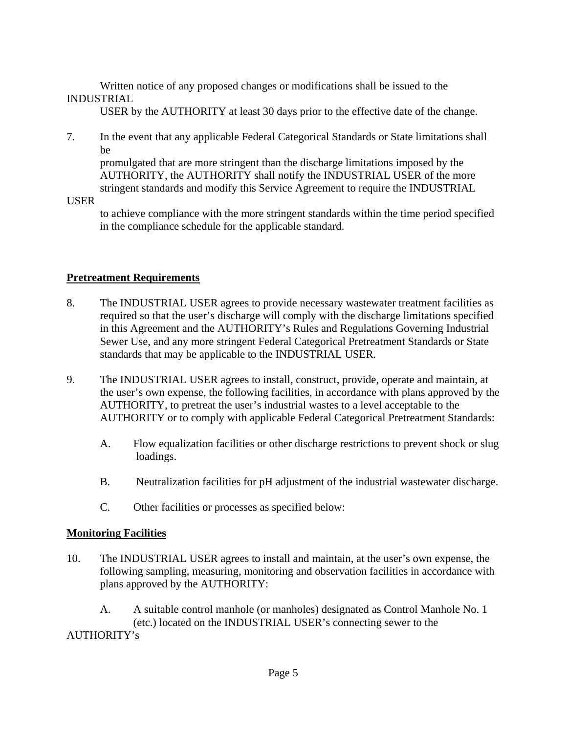Written notice of any proposed changes or modifications shall be issued to the INDUSTRIAL

USER by the AUTHORITY at least 30 days prior to the effective date of the change.

7. In the event that any applicable Federal Categorical Standards or State limitations shall be

 promulgated that are more stringent than the discharge limitations imposed by the AUTHORITY, the AUTHORITY shall notify the INDUSTRIAL USER of the more stringent standards and modify this Service Agreement to require the INDUSTRIAL

USER

to achieve compliance with the more stringent standards within the time period specified in the compliance schedule for the applicable standard.

## **Pretreatment Requirements**

- 8. The INDUSTRIAL USER agrees to provide necessary wastewater treatment facilities as required so that the user's discharge will comply with the discharge limitations specified in this Agreement and the AUTHORITY's Rules and Regulations Governing Industrial Sewer Use, and any more stringent Federal Categorical Pretreatment Standards or State standards that may be applicable to the INDUSTRIAL USER.
- 9. The INDUSTRIAL USER agrees to install, construct, provide, operate and maintain, at the user's own expense, the following facilities, in accordance with plans approved by the AUTHORITY, to pretreat the user's industrial wastes to a level acceptable to the AUTHORITY or to comply with applicable Federal Categorical Pretreatment Standards:
	- A. Flow equalization facilities or other discharge restrictions to prevent shock or slug loadings.
	- B. Neutralization facilities for pH adjustment of the industrial wastewater discharge.
	- C. Other facilities or processes as specified below:

## **Monitoring Facilities**

10. The INDUSTRIAL USER agrees to install and maintain, at the user's own expense, the following sampling, measuring, monitoring and observation facilities in accordance with plans approved by the AUTHORITY:

 A. A suitable control manhole (or manholes) designated as Control Manhole No. 1 (etc.) located on the INDUSTRIAL USER's connecting sewer to the AUTHORITY's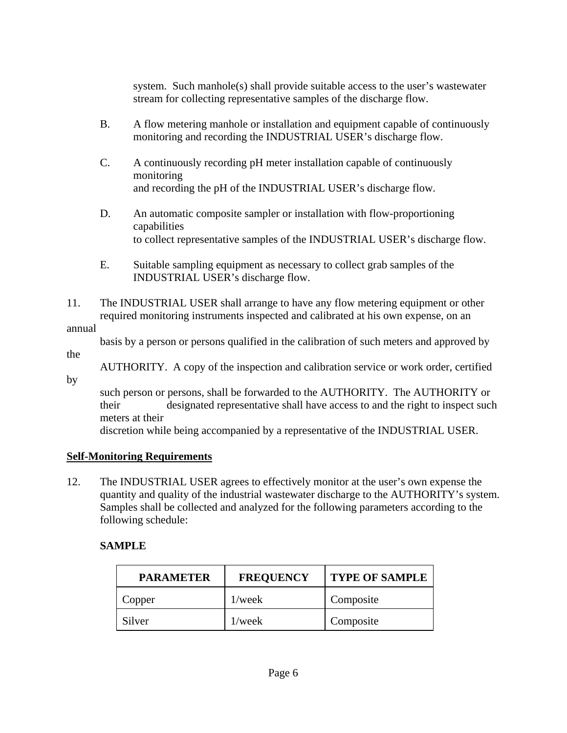system. Such manhole(s) shall provide suitable access to the user's wastewater stream for collecting representative samples of the discharge flow.

- B. A flow metering manhole or installation and equipment capable of continuously monitoring and recording the INDUSTRIAL USER's discharge flow.
- C. A continuously recording pH meter installation capable of continuously monitoring and recording the pH of the INDUSTRIAL USER's discharge flow.
- D. An automatic composite sampler or installation with flow-proportioning capabilities to collect representative samples of the INDUSTRIAL USER's discharge flow.
- E. Suitable sampling equipment as necessary to collect grab samples of the INDUSTRIAL USER's discharge flow.
- 11. The INDUSTRIAL USER shall arrange to have any flow metering equipment or other required monitoring instruments inspected and calibrated at his own expense, on an

### annual

basis by a person or persons qualified in the calibration of such meters and approved by

the

 AUTHORITY. A copy of the inspection and calibration service or work order, certified by

 such person or persons, shall be forwarded to the AUTHORITY. The AUTHORITY or their designated representative shall have access to and the right to inspect such meters at their

discretion while being accompanied by a representative of the INDUSTRIAL USER.

# **Self-Monitoring Requirements**

12. The INDUSTRIAL USER agrees to effectively monitor at the user's own expense the quantity and quality of the industrial wastewater discharge to the AUTHORITY's system. Samples shall be collected and analyzed for the following parameters according to the following schedule:

# **SAMPLE**

| <b>PARAMETER</b> | <b>FREQUENCY</b> | <b>TYPE OF SAMPLE</b> |
|------------------|------------------|-----------------------|
| Copper           | $1$ /week        | Composite             |
| Silver           | $1$ /week        | Composite             |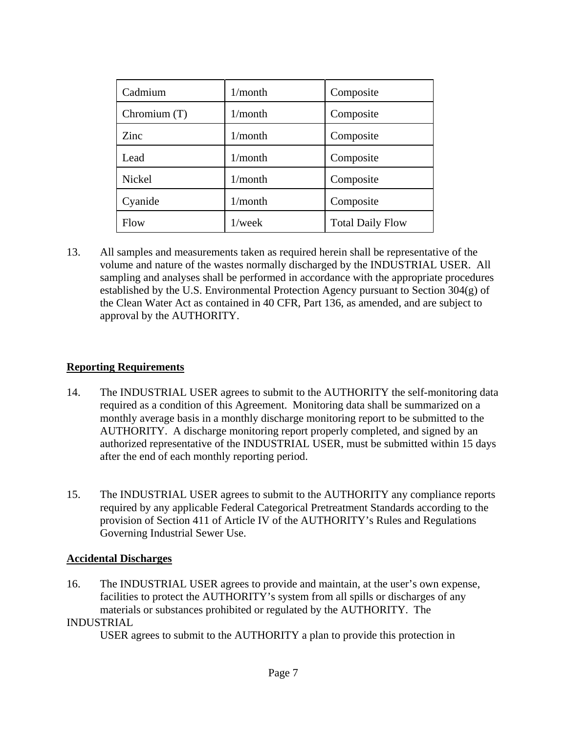| Cadmium      | 1/month    | Composite               |
|--------------|------------|-------------------------|
| Chromium (T) | $1/m$ onth | Composite               |
| Zinc.        | $1/m$ onth | Composite               |
| Lead         | $1/m$ onth | Composite               |
| Nickel       | $1/m$ onth | Composite               |
| Cyanide      | $1/m$ onth | Composite               |
| Flow         | $1$ /week  | <b>Total Daily Flow</b> |

13. All samples and measurements taken as required herein shall be representative of the volume and nature of the wastes normally discharged by the INDUSTRIAL USER. All sampling and analyses shall be performed in accordance with the appropriate procedures established by the U.S. Environmental Protection Agency pursuant to Section 304(g) of the Clean Water Act as contained in 40 CFR, Part 136, as amended, and are subject to approval by the AUTHORITY.

### **Reporting Requirements**

- 14. The INDUSTRIAL USER agrees to submit to the AUTHORITY the self-monitoring data required as a condition of this Agreement. Monitoring data shall be summarized on a monthly average basis in a monthly discharge monitoring report to be submitted to the AUTHORITY. A discharge monitoring report properly completed, and signed by an authorized representative of the INDUSTRIAL USER, must be submitted within 15 days after the end of each monthly reporting period.
- 15. The INDUSTRIAL USER agrees to submit to the AUTHORITY any compliance reports required by any applicable Federal Categorical Pretreatment Standards according to the provision of Section 411 of Article IV of the AUTHORITY's Rules and Regulations Governing Industrial Sewer Use.

#### **Accidental Discharges**

16. The INDUSTRIAL USER agrees to provide and maintain, at the user's own expense, facilities to protect the AUTHORITY's system from all spills or discharges of any materials or substances prohibited or regulated by the AUTHORITY. The

#### INDUSTRIAL

USER agrees to submit to the AUTHORITY a plan to provide this protection in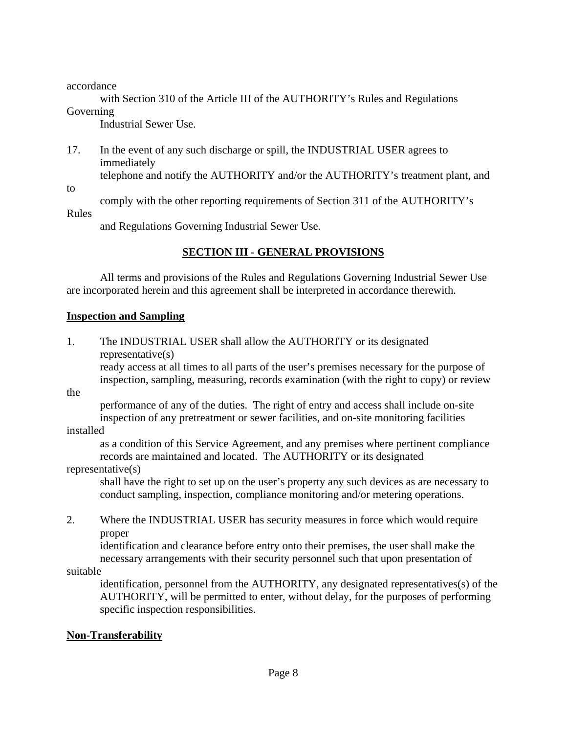accordance

 with Section 310 of the Article III of the AUTHORITY's Rules and Regulations Governing

Industrial Sewer Use.

17. In the event of any such discharge or spill, the INDUSTRIAL USER agrees to immediately telephone and notify the AUTHORITY and/or the AUTHORITY's treatment plant, and

to

comply with the other reporting requirements of Section 311 of the AUTHORITY's

Rules

and Regulations Governing Industrial Sewer Use.

# **SECTION III - GENERAL PROVISIONS**

 All terms and provisions of the Rules and Regulations Governing Industrial Sewer Use are incorporated herein and this agreement shall be interpreted in accordance therewith.

## **Inspection and Sampling**

1. The INDUSTRIAL USER shall allow the AUTHORITY or its designated representative(s)

 ready access at all times to all parts of the user's premises necessary for the purpose of inspection, sampling, measuring, records examination (with the right to copy) or review

the

 performance of any of the duties. The right of entry and access shall include on-site inspection of any pretreatment or sewer facilities, and on-site monitoring facilities

## installed

 as a condition of this Service Agreement, and any premises where pertinent compliance records are maintained and located. The AUTHORITY or its designated

### representative(s)

 shall have the right to set up on the user's property any such devices as are necessary to conduct sampling, inspection, compliance monitoring and/or metering operations.

2. Where the INDUSTRIAL USER has security measures in force which would require proper

 identification and clearance before entry onto their premises, the user shall make the necessary arrangements with their security personnel such that upon presentation of

suitable

 identification, personnel from the AUTHORITY, any designated representatives(s) of the AUTHORITY, will be permitted to enter, without delay, for the purposes of performing specific inspection responsibilities.

## **Non-Transferability**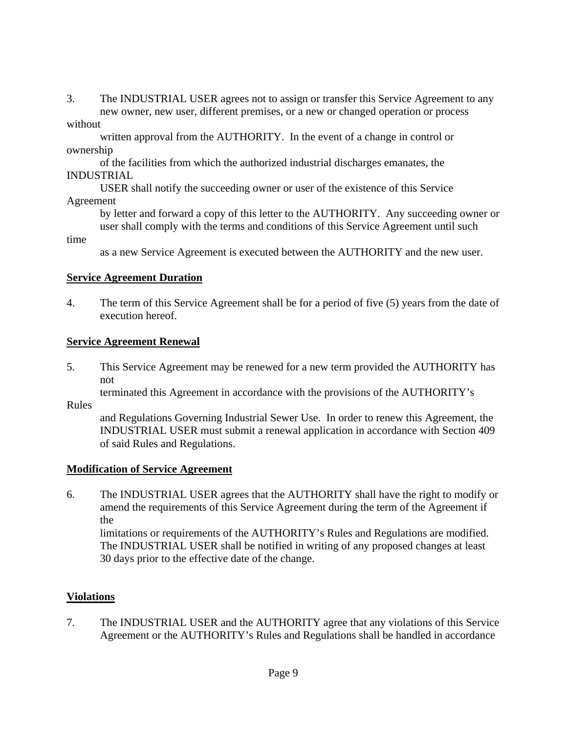3. The INDUSTRIAL USER agrees not to assign or transfer this Service Agreement to any new owner, new user, different premises, or a new or changed operation or process without

 written approval from the AUTHORITY. In the event of a change in control or ownership

 of the facilities from which the authorized industrial discharges emanates, the INDUSTRIAL

 USER shall notify the succeeding owner or user of the existence of this Service Agreement

 by letter and forward a copy of this letter to the AUTHORITY. Any succeeding owner or user shall comply with the terms and conditions of this Service Agreement until such

time

as a new Service Agreement is executed between the AUTHORITY and the new user.

## **Service Agreement Duration**

4. The term of this Service Agreement shall be for a period of five (5) years from the date of execution hereof.

# **Service Agreement Renewal**

5. This Service Agreement may be renewed for a new term provided the AUTHORITY has not

terminated this Agreement in accordance with the provisions of the AUTHORITY's

Rules

 and Regulations Governing Industrial Sewer Use. In order to renew this Agreement, the INDUSTRIAL USER must submit a renewal application in accordance with Section 409 of said Rules and Regulations.

# **Modification of Service Agreement**

6. The INDUSTRIAL USER agrees that the AUTHORITY shall have the right to modify or amend the requirements of this Service Agreement during the term of the Agreement if the

 limitations or requirements of the AUTHORITY's Rules and Regulations are modified. The INDUSTRIAL USER shall be notified in writing of any proposed changes at least 30 days prior to the effective date of the change.

# **Violations**

7. The INDUSTRIAL USER and the AUTHORITY agree that any violations of this Service Agreement or the AUTHORITY's Rules and Regulations shall be handled in accordance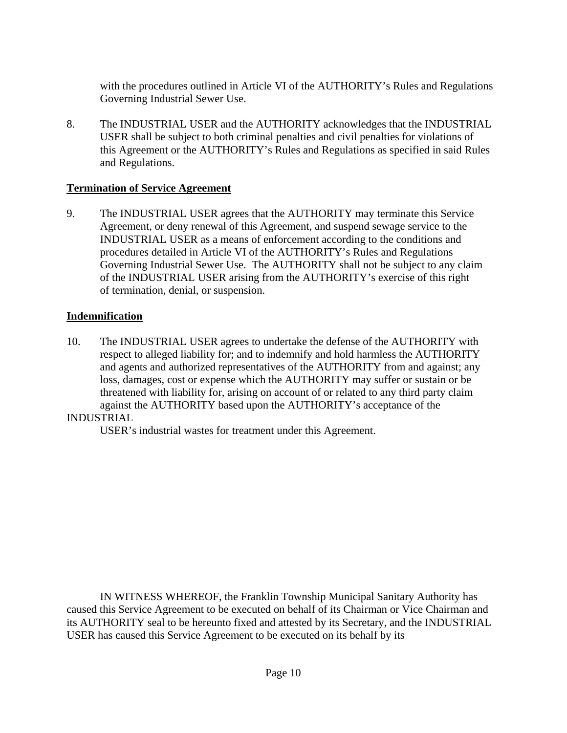with the procedures outlined in Article VI of the AUTHORITY's Rules and Regulations Governing Industrial Sewer Use.

8. The INDUSTRIAL USER and the AUTHORITY acknowledges that the INDUSTRIAL USER shall be subject to both criminal penalties and civil penalties for violations of this Agreement or the AUTHORITY's Rules and Regulations as specified in said Rules and Regulations.

## **Termination of Service Agreement**

9. The INDUSTRIAL USER agrees that the AUTHORITY may terminate this Service Agreement, or deny renewal of this Agreement, and suspend sewage service to the INDUSTRIAL USER as a means of enforcement according to the conditions and procedures detailed in Article VI of the AUTHORITY's Rules and Regulations Governing Industrial Sewer Use. The AUTHORITY shall not be subject to any claim of the INDUSTRIAL USER arising from the AUTHORITY's exercise of this right of termination, denial, or suspension.

### **Indemnification**

10. The INDUSTRIAL USER agrees to undertake the defense of the AUTHORITY with respect to alleged liability for; and to indemnify and hold harmless the AUTHORITY and agents and authorized representatives of the AUTHORITY from and against; any loss, damages, cost or expense which the AUTHORITY may suffer or sustain or be threatened with liability for, arising on account of or related to any third party claim against the AUTHORITY based upon the AUTHORITY's acceptance of the

### INDUSTRIAL

USER's industrial wastes for treatment under this Agreement.

 IN WITNESS WHEREOF, the Franklin Township Municipal Sanitary Authority has caused this Service Agreement to be executed on behalf of its Chairman or Vice Chairman and its AUTHORITY seal to be hereunto fixed and attested by its Secretary, and the INDUSTRIAL USER has caused this Service Agreement to be executed on its behalf by its